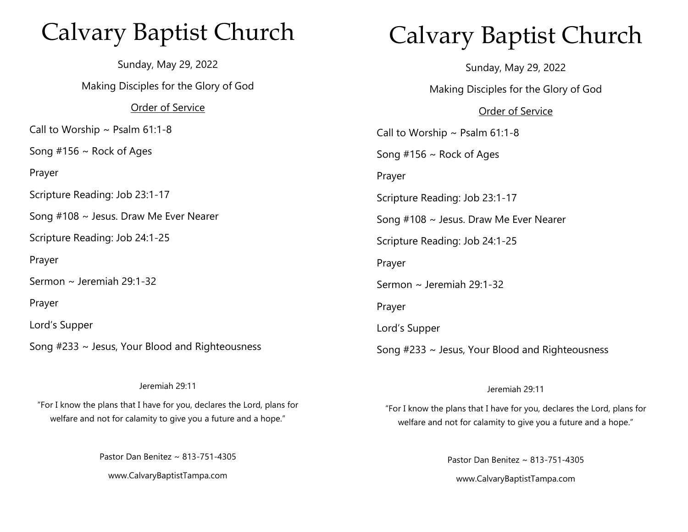## Calvary Baptist Church

Sunday, May 29, 2022 Making Disciples for the Glory of God Order of Service Call to Worship  $\sim$  Psalm 61:1-8 Song  $#156 \sim$  Rock of Ages Prayer Scripture Reading: Job 23:1-17 Song #108 ~ Jesus. Draw Me Ever Nearer Scripture Reading: Job 24:1-25 Prayer Sermon ~ Jeremiah 29:1-32 Prayer Lord's Supper Song #233 ~ Jesus, Your Blood and Righteousness

#### Jeremiah 29:11

"For I know the plans that I have for you, declares the Lord, plans for welfare and not for calamity to give you a future and a hope."

Pastor Dan Benitez ~ 813-751-4305

www.CalvaryBaptistTampa.com

# Calvary Baptist Church

Sunday, May 29, 2022 Making Disciples for the Glory of God Order of Service Call to Worship  $\sim$  Psalm 61:1-8 Song  $#156 \sim$  Rock of Ages Prayer Scripture Reading: Job 23:1-17 Song #108 ~ Jesus. Draw Me Ever Nearer Scripture Reading: Job 24:1-25 Prayer Sermon ~ Jeremiah 29:1-32 Prayer Lord's Supper Song #233 ~ Jesus, Your Blood and Righteousness

#### Jeremiah 29:11

"For I know the plans that I have for you, declares the Lord, plans for welfare and not for calamity to give you a future and a hope."

> Pastor Dan Benitez ~ 813-751-4305 www.CalvaryBaptistTampa.com